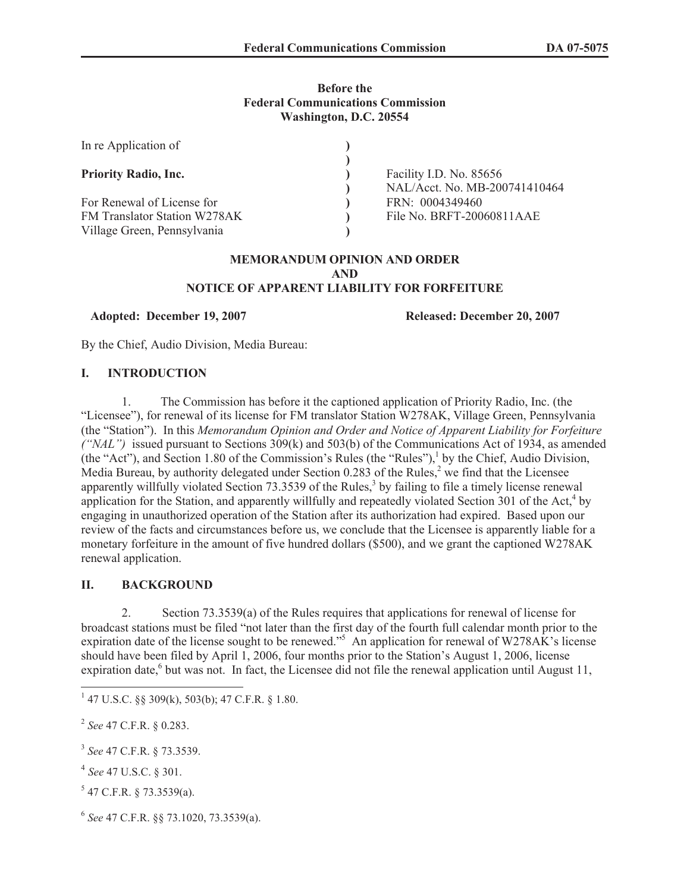# **Before the Federal Communications Commission Washington, D.C. 20554**

| In re Application of                |                               |
|-------------------------------------|-------------------------------|
| <b>Priority Radio, Inc.</b>         | Facility I.D. No. 85656       |
|                                     | NAL/Acct. No. MB-200741410464 |
| For Renewal of License for          | FRN: 0004349460               |
| <b>FM Translator Station W278AK</b> | File No. BRFT-20060811AAE     |
| Village Green, Pennsylvania         |                               |

#### **MEMORANDUM OPINION AND ORDER AND NOTICE OF APPARENT LIABILITY FOR FORFEITURE**

**Adopted: December 19, 2007 Released: December 20, 2007**

By the Chief, Audio Division, Media Bureau:

# **I. INTRODUCTION**

1. The Commission has before it the captioned application of Priority Radio, Inc. (the "Licensee"), for renewal of its license for FM translator Station W278AK, Village Green, Pennsylvania (the "Station"). In this *Memorandum Opinion and Order and Notice of Apparent Liability for Forfeiture ("NAL")* issued pursuant to Sections 309(k) and 503(b) of the Communications Act of 1934, as amended (the "Act"), and Section 1.80 of the Commission's Rules (the "Rules"),<sup>1</sup> by the Chief, Audio Division, Media Bureau, by authority delegated under Section  $0.283$  of the Rules,<sup>2</sup> we find that the Licensee apparently willfully violated Section 73.3539 of the Rules,<sup>3</sup> by failing to file a timely license renewal application for the Station, and apparently willfully and repeatedly violated Section  $301$  of the Act,<sup>4</sup> by engaging in unauthorized operation of the Station after its authorization had expired. Based upon our review of the facts and circumstances before us, we conclude that the Licensee is apparently liable for a monetary forfeiture in the amount of five hundred dollars (\$500), and we grant the captioned W278AK renewal application.

# **II. BACKGROUND**

2. Section 73.3539(a) of the Rules requires that applications for renewal of license for broadcast stations must be filed "not later than the first day of the fourth full calendar month prior to the expiration date of the license sought to be renewed."<sup>5</sup> An application for renewal of W278AK's license should have been filed by April 1, 2006, four months prior to the Station's August 1, 2006, license expiration date,<sup>6</sup> but was not. In fact, the Licensee did not file the renewal application until August 11,

2 *See* 47 C.F.R. § 0.283.

6 *See* 47 C.F.R. §§ 73.1020, 73.3539(a).

 $1$  47 U.S.C. §§ 309(k), 503(b); 47 C.F.R. § 1.80.

<sup>3</sup> *See* 47 C.F.R. § 73.3539.

<sup>4</sup> *See* 47 U.S.C. § 301.

 $5$  47 C.F.R. § 73.3539(a).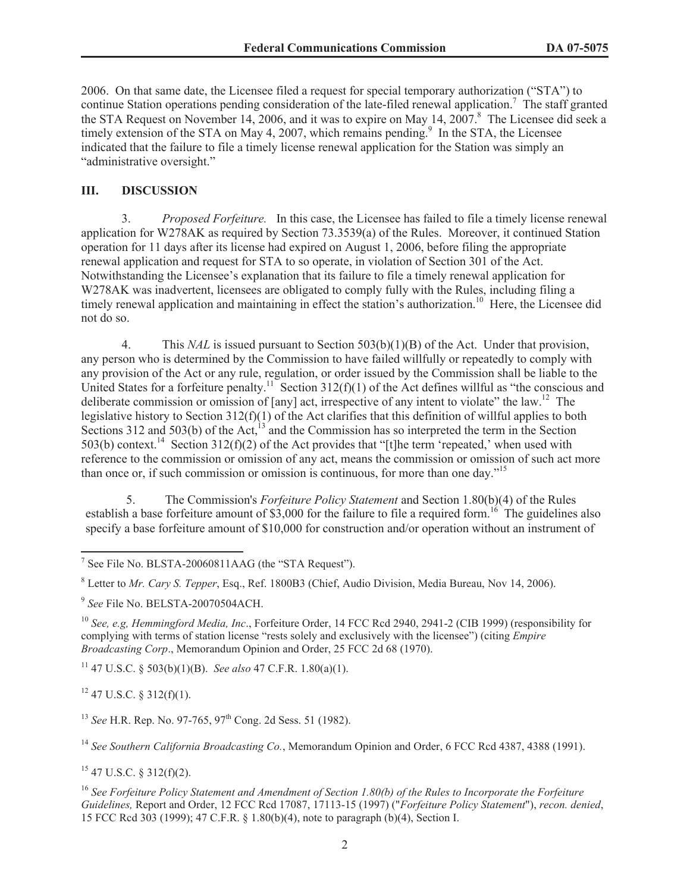2006. On that same date, the Licensee filed a request for special temporary authorization ("STA") to continue Station operations pending consideration of the late-filed renewal application.<sup>7</sup> The staff granted the STA Request on November 14, 2006, and it was to expire on May 14, 2007. <sup>8</sup> The Licensee did seek a timely extension of the STA on May 4, 2007, which remains pending.<sup>9</sup> In the STA, the Licensee indicated that the failure to file a timely license renewal application for the Station was simply an "administrative oversight."

### **III. DISCUSSION**

3. *Proposed Forfeiture.* In this case, the Licensee has failed to file a timely license renewal application for W278AK as required by Section 73.3539(a) of the Rules. Moreover, it continued Station operation for 11 days after its license had expired on August 1, 2006, before filing the appropriate renewal application and request for STA to so operate, in violation of Section 301 of the Act. Notwithstanding the Licensee's explanation that its failure to file a timely renewal application for W278AK was inadvertent, licensees are obligated to comply fully with the Rules, including filing a timely renewal application and maintaining in effect the station's authorization.<sup>10</sup> Here, the Licensee did not do so.

4. This *NAL* is issued pursuant to Section 503(b)(1)(B) of the Act. Under that provision, any person who is determined by the Commission to have failed willfully or repeatedly to comply with any provision of the Act or any rule, regulation, or order issued by the Commission shall be liable to the United States for a forfeiture penalty.<sup>11</sup> Section  $312(f)(1)$  of the Act defines willful as "the conscious and deliberate commission or omission of [any] act, irrespective of any intent to violate" the law.<sup>12</sup> The legislative history to Section 312(f)(1) of the Act clarifies that this definition of willful applies to both Sections 312 and 503(b) of the Act, $^{13}$  and the Commission has so interpreted the term in the Section 503(b) context.<sup>14</sup> Section 312(f)(2) of the Act provides that "[t]he term 'repeated,' when used with reference to the commission or omission of any act, means the commission or omission of such act more than once or, if such commission or omission is continuous, for more than one day."<sup>15</sup>

5. The Commission's *Forfeiture Policy Statement* and Section 1.80(b)(4) of the Rules establish a base forfeiture amount of  $$3,000$  for the failure to file a required form.<sup>16</sup> The guidelines also specify a base forfeiture amount of \$10,000 for construction and/or operation without an instrument of

<sup>11</sup> 47 U.S.C. § 503(b)(1)(B). *See also* 47 C.F.R. 1.80(a)(1).

 $12$  47 U.S.C. § 312(f)(1).

<sup>14</sup> *See Southern California Broadcasting Co.*, Memorandum Opinion and Order, 6 FCC Rcd 4387, 4388 (1991).

 $15$  47 U.S.C. § 312(f)(2).

<sup>16</sup> *See Forfeiture Policy Statement and Amendment of Section 1.80(b) of the Rules to Incorporate the Forfeiture Guidelines,* Report and Order, 12 FCC Rcd 17087, 17113-15 (1997) ("*Forfeiture Policy Statement*"), *recon. denied*, 15 FCC Rcd 303 (1999); 47 C.F.R. § 1.80(b)(4), note to paragraph (b)(4), Section I.

<sup>&</sup>lt;sup>7</sup> See File No. BLSTA-20060811AAG (the "STA Request").

<sup>8</sup> Letter to *Mr. Cary S. Tepper*, Esq., Ref. 1800B3 (Chief, Audio Division, Media Bureau, Nov 14, 2006).

<sup>9</sup> *See* File No. BELSTA-20070504ACH.

<sup>10</sup> *See, e.g, Hemmingford Media, Inc*., Forfeiture Order, 14 FCC Rcd 2940, 2941-2 (CIB 1999) (responsibility for complying with terms of station license "rests solely and exclusively with the licensee") (citing *Empire Broadcasting Corp*., Memorandum Opinion and Order, 25 FCC 2d 68 (1970).

<sup>&</sup>lt;sup>13</sup> *See* H.R. Rep. No. 97-765, 97<sup>th</sup> Cong. 2d Sess. 51 (1982).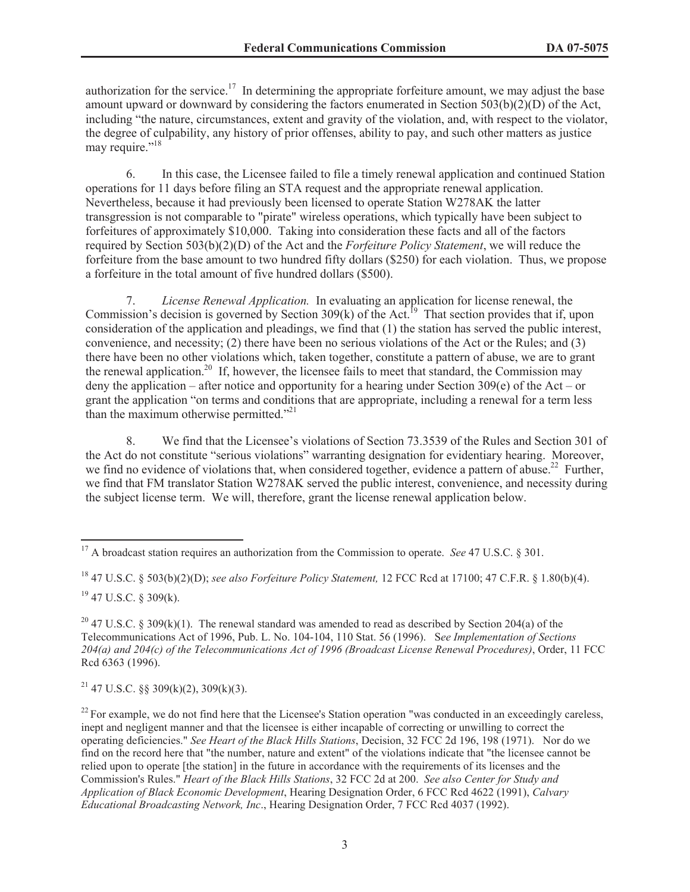authorization for the service.<sup>17</sup> In determining the appropriate forfeiture amount, we may adjust the base amount upward or downward by considering the factors enumerated in Section 503(b)(2)(D) of the Act, including "the nature, circumstances, extent and gravity of the violation, and, with respect to the violator, the degree of culpability, any history of prior offenses, ability to pay, and such other matters as justice may require."<sup>18</sup>

6. In this case, the Licensee failed to file a timely renewal application and continued Station operations for 11 days before filing an STA request and the appropriate renewal application. Nevertheless, because it had previously been licensed to operate Station W278AK the latter transgression is not comparable to "pirate" wireless operations, which typically have been subject to forfeitures of approximately \$10,000. Taking into consideration these facts and all of the factors required by Section 503(b)(2)(D) of the Act and the *Forfeiture Policy Statement*, we will reduce the forfeiture from the base amount to two hundred fifty dollars (\$250) for each violation. Thus, we propose a forfeiture in the total amount of five hundred dollars (\$500).

7. *License Renewal Application.* In evaluating an application for license renewal, the Commission's decision is governed by Section 309(k) of the Act.<sup>19</sup> That section provides that if, upon consideration of the application and pleadings, we find that (1) the station has served the public interest, convenience, and necessity; (2) there have been no serious violations of the Act or the Rules; and (3) there have been no other violations which, taken together, constitute a pattern of abuse, we are to grant the renewal application.<sup>20</sup> If, however, the licensee fails to meet that standard, the Commission may deny the application – after notice and opportunity for a hearing under Section 309(e) of the Act – or grant the application "on terms and conditions that are appropriate, including a renewal for a term less than the maximum otherwise permitted. $12^{21}$ 

8. We find that the Licensee's violations of Section 73.3539 of the Rules and Section 301 of the Act do not constitute "serious violations" warranting designation for evidentiary hearing. Moreover, we find no evidence of violations that, when considered together, evidence a pattern of abuse.<sup>22</sup> Further, we find that FM translator Station W278AK served the public interest, convenience, and necessity during the subject license term. We will, therefore, grant the license renewal application below.

<sup>21</sup> 47 U.S.C. §§ 309(k)(2), 309(k)(3).

<sup>&</sup>lt;sup>17</sup> A broadcast station requires an authorization from the Commission to operate. *See* 47 U.S.C. § 301.

<sup>18</sup> 47 U.S.C. § 503(b)(2)(D); *see also Forfeiture Policy Statement,* 12 FCC Rcd at 17100; 47 C.F.R. § 1.80(b)(4). <sup>19</sup> 47 U.S.C. § 309(k).

<sup>&</sup>lt;sup>20</sup> 47 U.S.C. § 309(k)(1). The renewal standard was amended to read as described by Section 204(a) of the Telecommunications Act of 1996, Pub. L. No. 104-104, 110 Stat. 56 (1996). S*ee Implementation of Sections 204(a) and 204(c) of the Telecommunications Act of 1996 (Broadcast License Renewal Procedures)*, Order, 11 FCC Rcd 6363 (1996).

 $^{22}$  For example, we do not find here that the Licensee's Station operation "was conducted in an exceedingly careless, inept and negligent manner and that the licensee is either incapable of correcting or unwilling to correct the operating deficiencies." *See Heart of the Black Hills Stations*, Decision, 32 FCC 2d 196, 198 (1971). Nor do we find on the record here that "the number, nature and extent" of the violations indicate that "the licensee cannot be relied upon to operate [the station] in the future in accordance with the requirements of its licenses and the Commission's Rules." *Heart of the Black Hills Stations*, 32 FCC 2d at 200. *See also Center for Study and Application of Black Economic Development*, Hearing Designation Order, 6 FCC Rcd 4622 (1991), *Calvary Educational Broadcasting Network, Inc*., Hearing Designation Order, 7 FCC Rcd 4037 (1992).